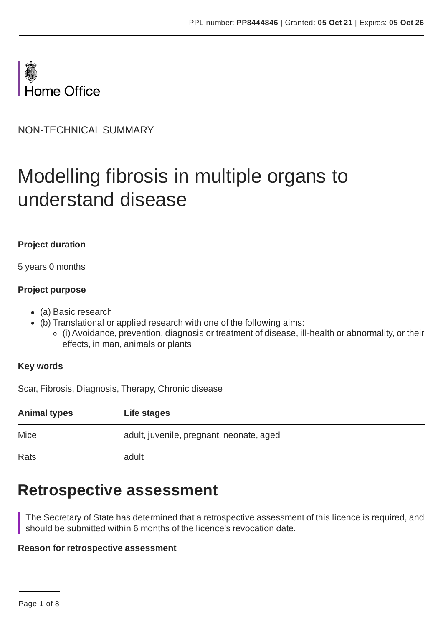

NON-TECHNICAL SUMMARY

# Modelling fibrosis in multiple organs to understand disease

### **Project duration**

5 years 0 months

### **Project purpose**

- (a) Basic research
- (b) Translational or applied research with one of the following aims:
	- (i) Avoidance, prevention, diagnosis or treatment of disease, ill-health or abnormality, or their effects, in man, animals or plants

#### **Key words**

Scar, Fibrosis, Diagnosis, Therapy, Chronic disease

| <b>Animal types</b> | Life stages                              |
|---------------------|------------------------------------------|
| Mice                | adult, juvenile, pregnant, neonate, aged |
| Rats                | adult                                    |

# **Retrospective assessment**

The Secretary of State has determined that a retrospective assessment of this licence is required, and should be submitted within 6 months of the licence's revocation date.

#### **Reason for retrospective assessment**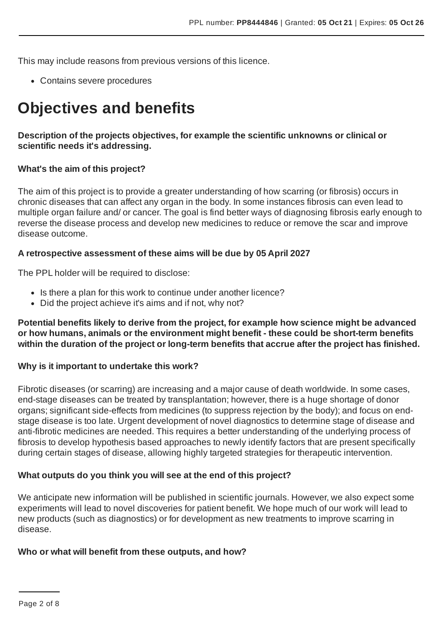This may include reasons from previous versions of this licence.

Contains severe procedures

# **Objectives and benefits**

### **Description of the projects objectives, for example the scientific unknowns or clinical or scientific needs it's addressing.**

### **What's the aim of this project?**

The aim of this project is to provide a greater understanding of how scarring (or fibrosis) occurs in chronic diseases that can affect any organ in the body. In some instances fibrosis can even lead to multiple organ failure and/ or cancer. The goal is find better ways of diagnosing fibrosis early enough to reverse the disease process and develop new medicines to reduce or remove the scar and improve disease outcome.

#### **A retrospective assessment of these aims will be due by 05 April 2027**

The PPL holder will be required to disclose:

- Is there a plan for this work to continue under another licence?
- Did the project achieve it's aims and if not, why not?

**Potential benefits likely to derive from the project, for example how science might be advanced or how humans, animals or the environment might benefit - these could be short-term benefits within the duration of the project or long-term benefits that accrue after the project has finished.**

#### **Why is it important to undertake this work?**

Fibrotic diseases (or scarring) are increasing and a major cause of death worldwide. In some cases, end-stage diseases can be treated by transplantation; however, there is a huge shortage of donor organs; significant side-effects from medicines (to suppress rejection by the body); and focus on endstage disease is too late. Urgent development of novel diagnostics to determine stage of disease and anti-fibrotic medicines are needed. This requires a better understanding of the underlying process of fibrosis to develop hypothesis based approaches to newly identify factors that are present specifically during certain stages of disease, allowing highly targeted strategies for therapeutic intervention.

#### **What outputs do you think you will see at the end of this project?**

We anticipate new information will be published in scientific journals. However, we also expect some experiments will lead to novel discoveries for patient benefit. We hope much of our work will lead to new products (such as diagnostics) or for development as new treatments to improve scarring in disease.

#### **Who or what will benefit from these outputs, and how?**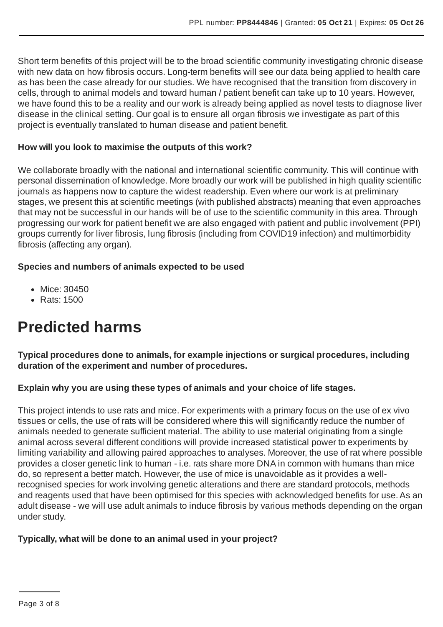Short term benefits of this project will be to the broad scientific community investigating chronic disease with new data on how fibrosis occurs. Long-term benefits will see our data being applied to health care as has been the case already for our studies. We have recognised that the transition from discovery in cells, through to animal models and toward human / patient benefit can take up to 10 years. However, we have found this to be a reality and our work is already being applied as novel tests to diagnose liver disease in the clinical setting. Our goal is to ensure all organ fibrosis we investigate as part of this project is eventually translated to human disease and patient benefit.

#### **How will you look to maximise the outputs of this work?**

We collaborate broadly with the national and international scientific community. This will continue with personal dissemination of knowledge. More broadly our work will be published in high quality scientific journals as happens now to capture the widest readership. Even where our work is at preliminary stages, we present this at scientific meetings (with published abstracts) meaning that even approaches that may not be successful in our hands will be of use to the scientific community in this area. Through progressing our work for patient benefit we are also engaged with patient and public involvement (PPI) groups currently for liver fibrosis, lung fibrosis (including from COVID19 infection) and multimorbidity fibrosis (affecting any organ).

### **Species and numbers of animals expected to be used**

- Mice: 30450
- Rats: 1500

# **Predicted harms**

**Typical procedures done to animals, for example injections or surgical procedures, including duration of the experiment and number of procedures.**

# **Explain why you are using these types of animals and your choice of life stages.**

This project intends to use rats and mice. For experiments with a primary focus on the use of ex vivo tissues or cells, the use of rats will be considered where this will significantly reduce the number of animals needed to generate sufficient material. The ability to use material originating from a single animal across several different conditions will provide increased statistical power to experiments by limiting variability and allowing paired approaches to analyses. Moreover, the use of rat where possible provides a closer genetic link to human - i.e. rats share more DNA in common with humans than mice do, so represent a better match. However, the use of mice is unavoidable as it provides a wellrecognised species for work involving genetic alterations and there are standard protocols, methods and reagents used that have been optimised for this species with acknowledged benefits for use.As an adult disease - we will use adult animals to induce fibrosis by various methods depending on the organ under study.

#### **Typically, what will be done to an animal used in your project?**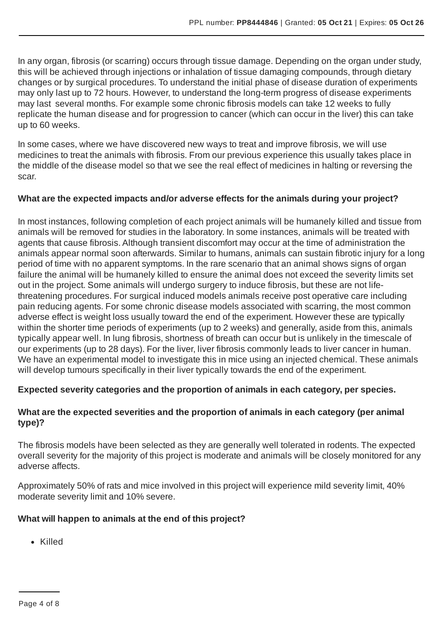In any organ, fibrosis (or scarring) occurs through tissue damage. Depending on the organ under study, this will be achieved through injections or inhalation of tissue damaging compounds, through dietary changes or by surgical procedures. To understand the initial phase of disease duration of experiments may only last up to 72 hours. However, to understand the long-term progress of disease experiments may last several months. For example some chronic fibrosis models can take 12 weeks to fully replicate the human disease and for progression to cancer (which can occur in the liver) this can take up to 60 weeks.

In some cases, where we have discovered new ways to treat and improve fibrosis, we will use medicines to treat the animals with fibrosis. From our previous experience this usually takes place in the middle of the disease model so that we see the real effect of medicines in halting or reversing the scar.

# **What are the expected impacts and/or adverse effects for the animals during your project?**

In most instances, following completion of each project animals will be humanely killed and tissue from animals will be removed for studies in the laboratory. In some instances, animals will be treated with agents that cause fibrosis.Although transient discomfort may occur at the time of administration the animals appear normal soon afterwards. Similar to humans, animals can sustain fibrotic injury for a long period of time with no apparent symptoms. In the rare scenario that an animal shows signs of organ failure the animal will be humanely killed to ensure the animal does not exceed the severity limits set out in the project. Some animals will undergo surgery to induce fibrosis, but these are not lifethreatening procedures. For surgical induced models animals receive post operative care including pain reducing agents. For some chronic disease models associated with scarring, the most common adverse effect is weight loss usually toward the end of the experiment. However these are typically within the shorter time periods of experiments (up to 2 weeks) and generally, aside from this, animals typically appear well. In lung fibrosis, shortness of breath can occur but is unlikely in the timescale of our experiments (up to 28 days). For the liver, liver fibrosis commonly leads to liver cancer in human. We have an experimental model to investigate this in mice using an injected chemical. These animals will develop tumours specifically in their liver typically towards the end of the experiment.

# **Expected severity categories and the proportion of animals in each category, per species.**

# **What are the expected severities and the proportion of animals in each category (per animal type)?**

The fibrosis models have been selected as they are generally well tolerated in rodents. The expected overall severity for the majority of this project is moderate and animals will be closely monitored for any adverse affects.

Approximately 50% of rats and mice involved in this project will experience mild severity limit, 40% moderate severity limit and 10% severe.

# **What will happen to animals at the end of this project?**

Killed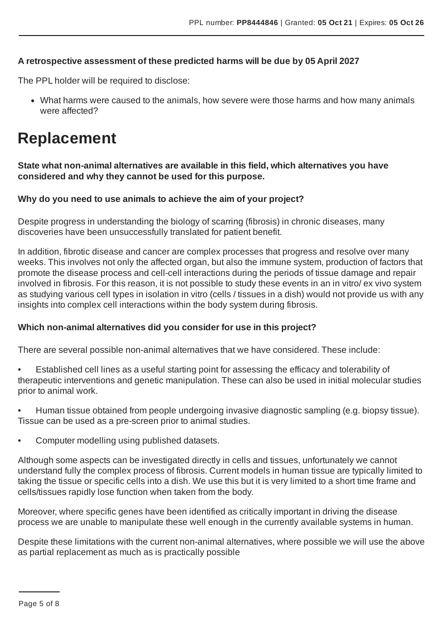### **A retrospective assessment of these predicted harms will be due by 05 April 2027**

The PPL holder will be required to disclose:

What harms were caused to the animals, how severe were those harms and how many animals were affected?

# **Replacement**

**State what non-animal alternatives are available in this field, which alternatives you have considered and why they cannot be used for this purpose.**

### **Why do you need to use animals to achieve the aim of your project?**

Despite progress in understanding the biology of scarring (fibrosis) in chronic diseases, many discoveries have been unsuccessfully translated for patient benefit.

In addition, fibrotic disease and cancer are complex processes that progress and resolve over many weeks. This involves not only the affected organ, but also the immune system, production of factors that promote the disease process and cell-cell interactions during the periods of tissue damage and repair involved in fibrosis. For this reason, it is not possible to study these events in an in vitro/ ex vivo system as studying various cell types in isolation in vitro (cells / tissues in a dish) would not provide us with any insights into complex cell interactions within the body system during fibrosis.

#### **Which non-animal alternatives did you consider for use in this project?**

There are several possible non-animal alternatives that we have considered. These include:

- Established cell lines as a useful starting point for assessing the efficacy and tolerability of therapeutic interventions and genetic manipulation. These can also be used in initial molecular studies prior to animal work.
- Human tissue obtained from people undergoing invasive diagnostic sampling (e.g. biopsy tissue). Tissue can be used as a pre-screen prior to animal studies.
- Computer modelling using published datasets.

Although some aspects can be investigated directly in cells and tissues, unfortunately we cannot understand fully the complex process of fibrosis. Current models in human tissue are typically limited to taking the tissue or specific cells into a dish. We use this but it is very limited to a short time frame and cells/tissues rapidly lose function when taken from the body.

Moreover, where specific genes have been identified as critically important in driving the disease process we are unable to manipulate these well enough in the currently available systems in human.

Despite these limitations with the current non-animal alternatives, where possible we will use the above as partial replacement as much as is practically possible

Page 5 of 8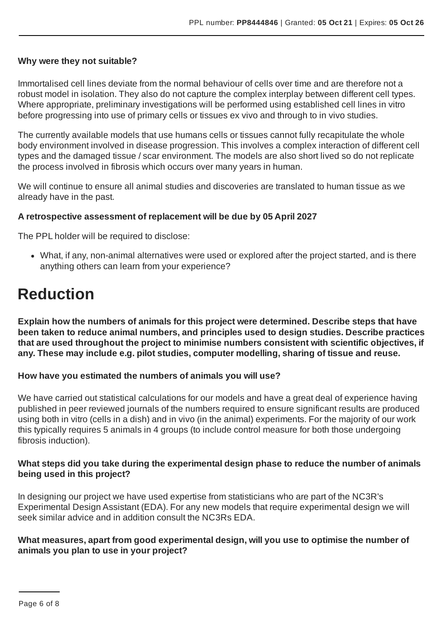#### **Why were they not suitable?**

Immortalised cell lines deviate from the normal behaviour of cells over time and are therefore not a robust model in isolation. They also do not capture the complex interplay between different cell types. Where appropriate, preliminary investigations will be performed using established cell lines in vitro before progressing into use of primary cells or tissues ex vivo and through to in vivo studies.

The currently available models that use humans cells or tissues cannot fully recapitulate the whole body environment involved in disease progression. This involves a complex interaction of different cell types and the damaged tissue / scar environment. The models are also short lived so do not replicate the process involved in fibrosis which occurs over many years in human.

We will continue to ensure all animal studies and discoveries are translated to human tissue as we already have in the past.

#### **A retrospective assessment of replacement will be due by 05 April 2027**

The PPL holder will be required to disclose:

What, if any, non-animal alternatives were used or explored after the project started, and is there anything others can learn from your experience?

# **Reduction**

**Explain how the numbers of animals for this project were determined. Describe steps that have been taken to reduce animal numbers, and principles used to design studies. Describe practices that are used throughout the project to minimise numbers consistent with scientific objectives, if any. These may include e.g. pilot studies, computer modelling, sharing of tissue and reuse.**

#### **How have you estimated the numbers of animals you will use?**

We have carried out statistical calculations for our models and have a great deal of experience having published in peer reviewed journals of the numbers required to ensure significant results are produced using both in vitro (cells in a dish) and in vivo (in the animal) experiments. For the majority of our work this typically requires 5 animals in 4 groups (to include control measure for both those undergoing fibrosis induction).

#### **What steps did you take during the experimental design phase to reduce the number of animals being used in this project?**

In designing our project we have used expertise from statisticians who are part of the NC3R's Experimental Design Assistant (EDA). For any new models that require experimental design we will seek similar advice and in addition consult the NC3Rs EDA.

#### **What measures, apart from good experimental design, will you use to optimise the number of animals you plan to use in your project?**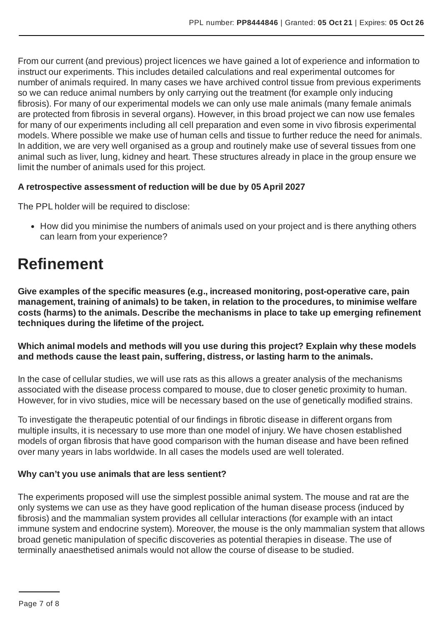From our current (and previous) project licences we have gained a lot of experience and information to instruct our experiments. This includes detailed calculations and real experimental outcomes for number of animals required. In many cases we have archived control tissue from previous experiments so we can reduce animal numbers by only carrying out the treatment (for example only inducing fibrosis). For many of our experimental models we can only use male animals (many female animals are protected from fibrosis in several organs). However, in this broad project we can now use females for many of our experiments including all cell preparation and even some in vivo fibrosis experimental models. Where possible we make use of human cells and tissue to further reduce the need for animals. In addition, we are very well organised as a group and routinely make use of several tissues from one animal such as liver, lung, kidney and heart. These structures already in place in the group ensure we limit the number of animals used for this project.

# **A retrospective assessment of reduction will be due by 05 April 2027**

The PPL holder will be required to disclose:

• How did you minimise the numbers of animals used on your project and is there anything others can learn from your experience?

# **Refinement**

**Give examples of the specific measures (e.g., increased monitoring, post-operative care, pain management, training of animals) to be taken, in relation to the procedures, to minimise welfare costs (harms) to the animals. Describe the mechanisms in place to take up emerging refinement techniques during the lifetime of the project.**

**Which animal models and methods will you use during this project? Explain why these models and methods cause the least pain, suffering, distress, or lasting harm to the animals.**

In the case of cellular studies, we will use rats as this allows a greater analysis of the mechanisms associated with the disease process compared to mouse, due to closer genetic proximity to human. However, for in vivo studies, mice will be necessary based on the use of genetically modified strains.

To investigate the therapeutic potential of our findings in fibrotic disease in different organs from multiple insults, it is necessary to use more than one model of injury. We have chosen established models of organ fibrosis that have good comparison with the human disease and have been refined over many years in labs worldwide. In all cases the models used are well tolerated.

#### **Why can't you use animals that are less sentient?**

The experiments proposed will use the simplest possible animal system. The mouse and rat are the only systems we can use as they have good replication of the human disease process (induced by fibrosis) and the mammalian system provides all cellular interactions (for example with an intact immune system and endocrine system). Moreover, the mouse is the only mammalian system that allows broad genetic manipulation of specific discoveries as potential therapies in disease. The use of terminally anaesthetised animals would not allow the course of disease to be studied.